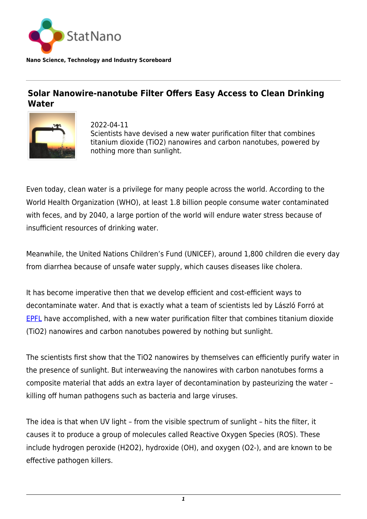

**Nano Science, Technology and Industry Scoreboard**

## **Solar Nanowire-nanotube Filter Offers Easy Access to Clean Drinking Water**



2022-04-11 Scientists have devised a new water purification filter that combines titanium dioxide (TiO2) nanowires and carbon nanotubes, powered by nothing more than sunlight.

Even today, clean water is a privilege for many people across the world. According to the World Health Organization (WHO), at least 1.8 billion people consume water contaminated with feces, and by 2040, a large portion of the world will endure water stress because of insufficient resources of drinking water.

Meanwhile, the United Nations Children's Fund (UNICEF), around 1,800 children die every day from diarrhea because of unsafe water supply, which causes diseases like cholera.

It has become imperative then that we develop efficient and cost-efficient ways to decontaminate water. And that is exactly what a team of scientists led by László Forró at **[EPFL](https://statnano.com/org/%C3%89cole-Polytechnique-F%C3%A9d%C3%A9rale-de-Lausanne)** have accomplished, with a new water purification filter that combines titanium dioxide (TiO2) nanowires and carbon nanotubes powered by nothing but sunlight.

The scientists first show that the TiO2 nanowires by themselves can efficiently purify water in the presence of sunlight. But interweaving the nanowires with carbon nanotubes forms a composite material that adds an extra layer of decontamination by pasteurizing the water – killing off human pathogens such as bacteria and large viruses.

The idea is that when UV light – from the visible spectrum of sunlight – hits the filter, it causes it to produce a group of molecules called Reactive Oxygen Species (ROS). These include hydrogen peroxide (H2O2), hydroxide (OH), and oxygen (O2-), and are known to be effective pathogen killers.